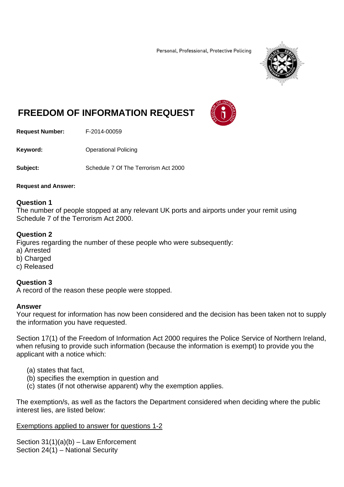Personal, Professional, Protective Policing



# **FREEDOM OF INFORMATION REQUEST**



**Request Number:** F-2014-00059

**Keyword: C**Derational Policing

**Subject:** Schedule 7 Of The Terrorism Act 2000

#### **Request and Answer:**

### **Question 1**

The number of people stopped at any relevant UK ports and airports under your remit using Schedule 7 of the Terrorism Act 2000.

### **Question 2**

Figures regarding the number of these people who were subsequently:

- a) Arrested
- b) Charged
- c) Released

# **Question 3**

A record of the reason these people were stopped.

# **Answer**

Your request for information has now been considered and the decision has been taken not to supply the information you have requested.

Section 17(1) of the Freedom of Information Act 2000 requires the Police Service of Northern Ireland, when refusing to provide such information (because the information is exempt) to provide you the applicant with a notice which:

- (a) states that fact,
- (b) specifies the exemption in question and
- (c) states (if not otherwise apparent) why the exemption applies.

The exemption/s, as well as the factors the Department considered when deciding where the public interest lies, are listed below:

# Exemptions applied to answer for questions 1-2

Section 31(1)(a)(b) – Law Enforcement Section 24(1) – National Security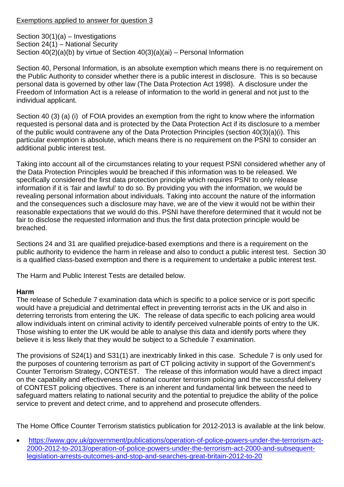# Exemptions applied to answer for question 3

Section 30(1)(a) – Investigations Section 24(1) – National Security Section 40(2)(a)(b) by virtue of Section 40(3)(a)(ai) – Personal Information

Section 40, Personal Information, is an absolute exemption which means there is no requirement on the Public Authority to consider whether there is a public interest in disclosure. This is so because personal data is governed by other law (The Data Protection Act 1998). A disclosure under the Freedom of Information Act is a release of information to the world in general and not just to the individual applicant.

Section 40 (3) (a) (i) of FOIA provides an exemption from the right to know where the information requested is personal data and is protected by the Data Protection Act if its disclosure to a member of the public would contravene any of the Data Protection Principles (section 40(3)(a)(i). This particular exemption is absolute, which means there is no requirement on the PSNI to consider an additional public interest test.

Taking into account all of the circumstances relating to your request PSNI considered whether any of the Data Protection Principles would be breached if this information was to be released. We specifically considered the first data protection principle which requires PSNI to only release information if it is 'fair and lawful' to do so. By providing you with the information, we would be revealing personal information about individuals. Taking into account the nature of the information and the consequences such a disclosure may have, we are of the view it would not be within their reasonable expectations that we would do this. PSNI have therefore determined that it would not be fair to disclose the requested information and thus the first data protection principle would be breached.

Sections 24 and 31 are qualified prejudice-based exemptions and there is a requirement on the public authority to evidence the harm in release and also to conduct a public interest test. Section 30 is a qualified class-based exemption and there is a requirement to undertake a public interest test.

The Harm and Public Interest Tests are detailed below.

# **Harm**

The release of Schedule 7 examination data which is specific to a police service or is port specific would have a prejudicial and detrimental effect in preventing terrorist acts in the UK and also in deterring terrorists from entering the UK. The release of data specific to each policing area would allow individuals intent on criminal activity to identify perceived vulnerable points of entry to the UK. Those wishing to enter the UK would be able to analyse this data and identify ports where they believe it is less likely that they would be subject to a Schedule 7 examination.

The provisions of S24(1) and S31(1) are inextricably linked in this case. Schedule 7 is only used for the purposes of countering terrorism as part of CT policing activity in support of the Government's Counter Terrorism Strategy, CONTEST. The release of this information would have a direct impact on the capability and effectiveness of national counter terrorism policing and the successful delivery of CONTEST policing objectives. There is an inherent and fundamental link between the need to safeguard matters relating to national security and the potential to prejudice the ability of the police service to prevent and detect crime, and to apprehend and prosecute offenders.

The Home Office Counter Terrorism statistics publication for 2012-2013 is available at the link below.

 https://www.gov.uk/government/publications/operation-of-police-powers-under-the-terrorism-act-2000-2012-to-2013/operation-of-police-powers-under-the-terrorism-act-2000-and-subsequentlegislation-arrests-outcomes-and-stop-and-searches-great-britain-2012-to-20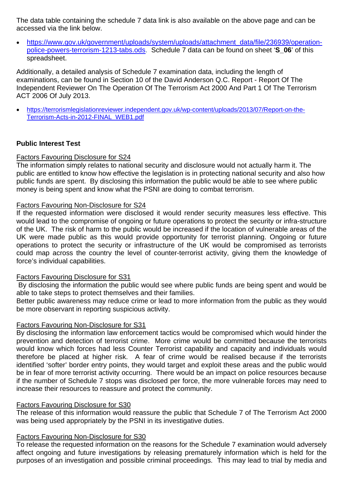The data table containing the schedule 7 data link is also available on the above page and can be accessed via the link below.

• https://www.gov.uk/government/uploads/system/uploads/attachment\_data/file/236939/operationpolice-powers-terrorism-1213-tabs.ods. Schedule 7 data can be found on sheet '**S\_06**' of this spreadsheet.

Additionally, a detailed analysis of Schedule 7 examination data, including the length of examinations, can be found in Section 10 of the David Anderson Q.C. Report - Report Of The Independent Reviewer On The Operation Of The Terrorism Act 2000 And Part 1 Of The Terrorism ACT 2006 Of July 2013.

 https://terrorismlegislationreviewer.independent.gov.uk/wp-content/uploads/2013/07/Report-on-the-Terrorism-Acts-in-2012-FINAL\_WEB1.pdf

# **Public Interest Test**

# Factors Favouring Disclosure for S24

The information simply relates to national security and disclosure would not actually harm it. The public are entitled to know how effective the legislation is in protecting national security and also how public funds are spent. By disclosing this information the public would be able to see where public money is being spent and know what the PSNI are doing to combat terrorism.

# Factors Favouring Non-Disclosure for S24

If the requested information were disclosed it would render security measures less effective. This would lead to the compromise of ongoing or future operations to protect the security or infra-structure of the UK. The risk of harm to the public would be increased if the location of vulnerable areas of the UK were made public as this would provide opportunity for terrorist planning. Ongoing or future operations to protect the security or infrastructure of the UK would be compromised as terrorists could map across the country the level of counter-terrorist activity, giving them the knowledge of force's individual capabilities.

# Factors Favouring Disclosure for S31

 By disclosing the information the public would see where public funds are being spent and would be able to take steps to protect themselves and their families.

Better public awareness may reduce crime or lead to more information from the public as they would be more observant in reporting suspicious activity.

# Factors Favouring Non-Disclosure for S31

By disclosing the information law enforcement tactics would be compromised which would hinder the prevention and detection of terrorist crime. More crime would be committed because the terrorists would know which forces had less Counter Terrorist capability and capacity and individuals would therefore be placed at higher risk. A fear of crime would be realised because if the terrorists identified 'softer' border entry points, they would target and exploit these areas and the public would be in fear of more terrorist activity occurring. There would be an impact on police resources because if the number of Schedule 7 stops was disclosed per force, the more vulnerable forces may need to increase their resources to reassure and protect the community.

# Factors Favouring Disclosure for S30

The release of this information would reassure the public that Schedule 7 of The Terrorism Act 2000 was being used appropriately by the PSNI in its investigative duties.

# Factors Favouring Non-Disclosure for S30

To release the requested information on the reasons for the Schedule 7 examination would adversely affect ongoing and future investigations by releasing prematurely information which is held for the purposes of an investigation and possible criminal proceedings. This may lead to trial by media and